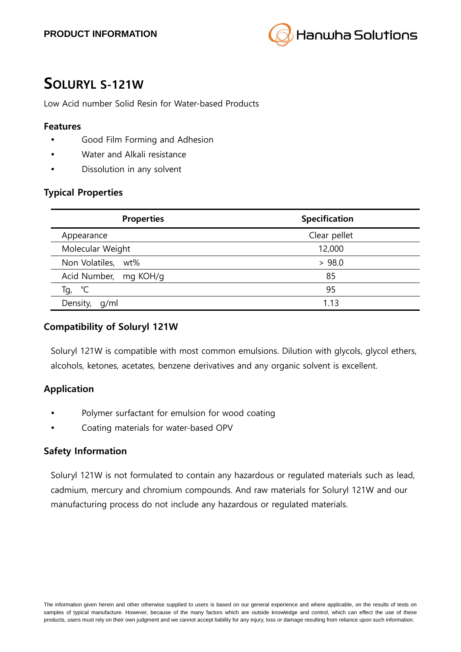

# **SOLURYL S-121W**

Low Acid number Solid Resin for Water-based Products

#### **Features**

- Good Film Forming and Adhesion
- Water and Alkali resistance
- Dissolution in any solvent

#### **Typical Properties**

| <b>Properties</b>     | <b>Specification</b> |
|-----------------------|----------------------|
| Appearance            | Clear pellet         |
| Molecular Weight      | 12,000               |
| Non Volatiles, wt%    | > 98.0               |
| Acid Number, mg KOH/g | 85                   |
| ℃<br>Tg,              | 95                   |
| Density,<br>q/ml      | 1.13                 |

#### **Compatibility of Soluryl 121W**

Soluryl 121W is compatible with most common emulsions. Dilution with glycols, glycol ethers, alcohols, ketones, acetates, benzene derivatives and any organic solvent is excellent.

## **Application**

- Polymer surfactant for emulsion for wood coating
- Coating materials for water-based OPV

#### **Safety Information**

Soluryl 121W is not formulated to contain any hazardous or regulated materials such as lead, cadmium, mercury and chromium compounds. And raw materials for Soluryl 121W and our manufacturing process do not include any hazardous or regulated materials.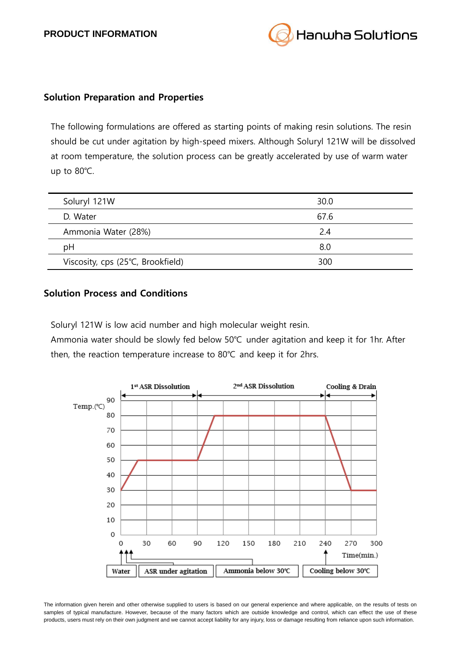

#### **Solution Preparation and Properties**

The following formulations are offered as starting points of making resin solutions. The resin should be cut under agitation by high-speed mixers. Although Soluryl 121W will be dissolved at room temperature, the solution process can be greatly accelerated by use of warm water up to 80℃.

| Soluryl 121W                      | 30.0 |
|-----------------------------------|------|
| D. Water                          | 67.6 |
| Ammonia Water (28%)               | 2.4  |
| рH                                | 8.0  |
| Viscosity, cps (25°C, Brookfield) | 300  |

#### **Solution Process and Conditions**

Soluryl 121W is low acid number and high molecular weight resin.

Ammonia water should be slowly fed below 50℃ under agitation and keep it for 1hr. After then, the reaction temperature increase to 80℃ and keep it for 2hrs.



The information given herein and other otherwise supplied to users is based on our general experience and where applicable, on the results of tests on samples of typical manufacture. However, because of the many factors which are outside knowledge and control, which can effect the use of these products, users must rely on their own judgment and we cannot accept liability for any injury, loss or damage resulting from reliance upon such information.